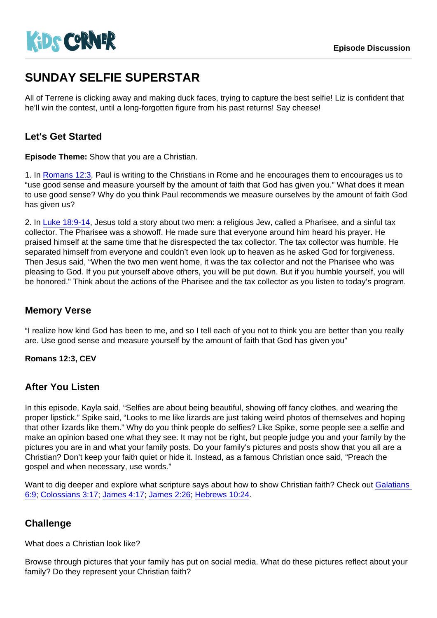# SUNDAY SELFIE SUPERSTAR

All of Terrene is clicking away and making duck faces, trying to capture the best selfie! Liz is confident that he'll win the contest, until a long-forgotten figure from his past returns! Say cheese!

# Let's Get Started

Episode Theme: Show that you are a Christian.

1. In [Romans 12:3,](https://www.biblegateway.com/passage/?search=Romans+12:3) Paul is writing to the Christians in Rome and he encourages them to encourages us to "use good sense and measure yourself by the amount of faith that God has given you." What does it mean to use good sense? Why do you think Paul recommends we measure ourselves by the amount of faith God has given us?

2. In [Luke 18:9-14,](https://www.biblegateway.com/passage/?search=Luke+18:9-14) Jesus told a story about two men: a religious Jew, called a Pharisee, and a sinful tax collector. The Pharisee was a showoff. He made sure that everyone around him heard his prayer. He praised himself at the same time that he disrespected the tax collector. The tax collector was humble. He separated himself from everyone and couldn't even look up to heaven as he asked God for forgiveness. Then Jesus said, "When the two men went home, it was the tax collector and not the Pharisee who was pleasing to God. If you put yourself above others, you will be put down. But if you humble yourself, you will be honored." Think about the actions of the Pharisee and the tax collector as you listen to today's program.

### Memory Verse

"I realize how kind God has been to me, and so I tell each of you not to think you are better than you really are. Use good sense and measure yourself by the amount of faith that God has given you"

Romans 12:3, CEV

### After You Listen

In this episode, Kayla said, "Selfies are about being beautiful, showing off fancy clothes, and wearing the proper lipstick." Spike said, "Looks to me like lizards are just taking weird photos of themselves and hoping that other lizards like them." Why do you think people do selfies? Like Spike, some people see a selfie and make an opinion based one what they see. It may not be right, but people judge you and your family by the pictures you are in and what your family posts. Do your family's pictures and posts show that you all are a Christian? Don't keep your faith quiet or hide it. Instead, as a famous Christian once said, "Preach the gospel and when necessary, use words."

Want to dig deeper and explore what scripture says about how to show Christian faith? Check out Galatians [6:9](https://www.biblegateway.com/passage/?search=Galatians+6:9); [Colossians 3:17;](https://www.biblegateway.com/passage/?search=Colossians+3:17) [James 4:17;](https://www.biblegateway.com/passage/?search=James+4:17) [James 2:26;](https://www.biblegateway.com/passage/?search=James+2:26) [Hebrews 10:24.](https://www.biblegateway.com/passage/?search=Hebrews+10:24)

### **Challenge**

What does a Christian look like?

Browse through pictures that your family has put on social media. What do these pictures reflect about your family? Do they represent your Christian faith?